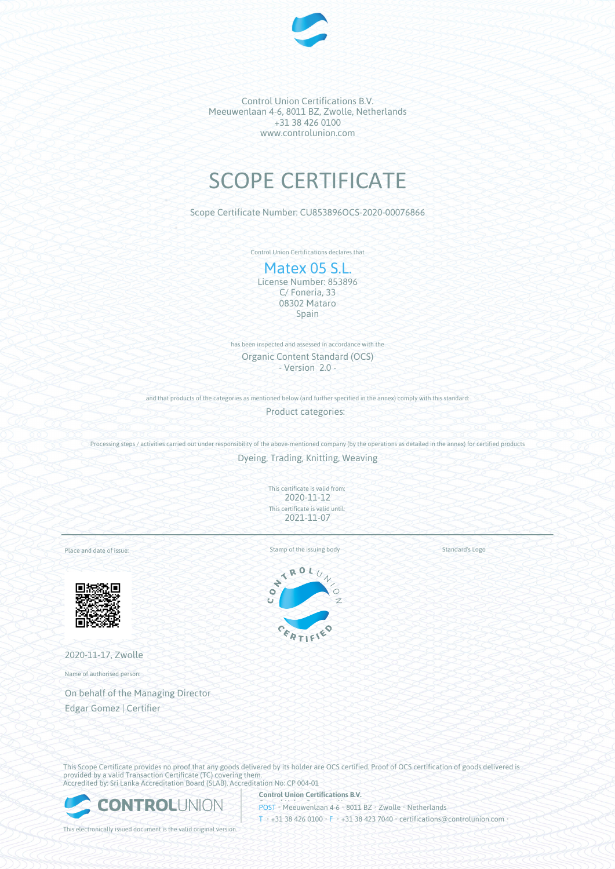

Control Union Certifications B.V. Meeuwenlaan 4-6, 8011 BZ, Zwolle, Netherlands +31 38 426 0100 www.controlunion.com

# SCOPE CERTIFICATE

Scope Certificate Number: CU853896OCS-2020-00076866

Control Union Certifications declares that

## Matex 05 S.L.

License Number: 853896 C/ Foneria, 33 08302 Mataro Spain

has been inspected and assessed in accordance with the Organic Content Standard (OCS) - Version 2.0 -

and that products of the categories as mentioned below (and further specified in the annex) comply with this standard:

Product categories:

Processing steps / activities carried out under responsibility of the above-mentioned company (by the operations as detailed in the annex) for certified products

Dyeing, Trading, Knitting, Weaving

This certificate is valid from: 2020-11-12 This certificate is valid until: 2021-11-07

Place and date of issue:



2020-11-17, Zwolle

Name of authorised person:

On behalf of the Managing Director Edgar Gomez | Certifier

Standard's Logo

 $\frac{1}{\sqrt{2}}$ 



This Scope Certificate provides no proof that any goods delivered by its holder are OCS certified. Proof of OCS certification of goods delivered is provided by a valid Transaction Certificate (TC) covering them. Accredited by: Sri Lanka Accreditation Board (SLAB), Accreditation No: CP 004-01



**Control Union Certifications B.V.** POST • Meeuwenlaan 4-6 • 8011 BZ • Zwolle • Netherlands T • +31 38 426 0100 • F • +31 38 423 7040 • certifications@controlunion.com •

This electronically issued document is the valid original version.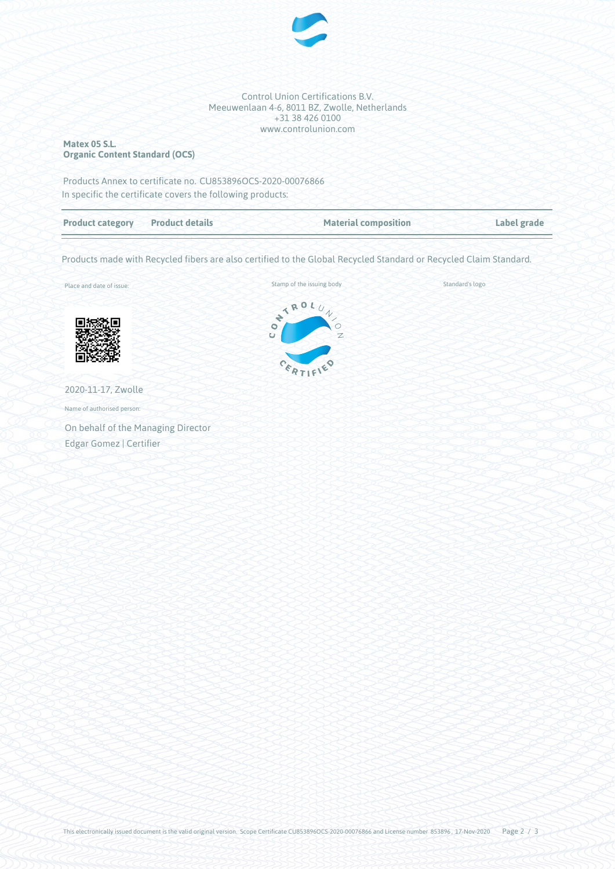

Control Union Certifications B.V. Meeuwenlaan 4-6, 8011 BZ, Zwolle, Netherlands +31 38 426 0100 www.controlunion.com

#### **Matex 05 S.L. Organic Content Standard (OCS)**

Products Annex to certificate no. CU853896OCS-2020-00076866 In specific the certificate covers the following products:

| <b>Product category Product details</b> | <b>Material composition</b> | Label grade |
|-----------------------------------------|-----------------------------|-------------|
|                                         |                             |             |

Products made with Recycled fibers are also certified to the Global Recycled Standard or Recycled Claim Standard.

Place and date of issue:



2020-11-17, Zwolle Name of authorised person:

On behalf of the Managing Director Edgar Gomez | Certifier